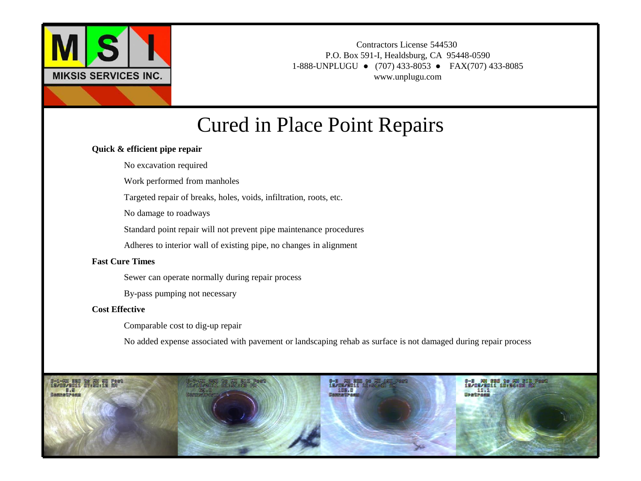

Contractors License 544530 P.O. Box 591-I, Healdsburg, CA 95448-0590 1-888-UNPLUGU ● (707) 433-8053 ● FAX(707) 433-8085 www.unplugu.com

# Cured in Place Point Repairs

#### **Quick & efficient pipe repair**

No excavation required

Work performed from manholes

Targeted repair of breaks, holes, voids, infiltration, roots, etc.

No damage to roadways

Standard point repair will not prevent pipe maintenance procedures

Adheres to interior wall of existing pipe, no changes in alignment

#### **Fast Cure Times**

Sewer can operate normally during repair process

By-pass pumping not necessary

#### **Cost Effective**

Comparable cost to dig-up repair

No added expense associated with pavement or landscaping rehab as surface is not damaged during repair process

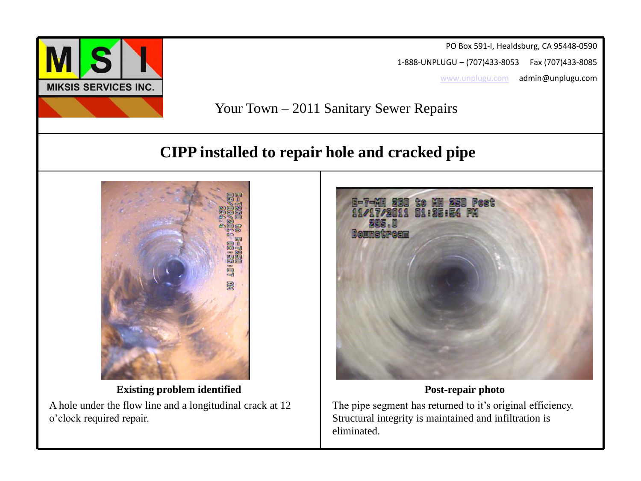

PO Box 591-I, Healdsburg, CA 95448-0590

1-888-UNPLUGU – (707)433-8053 Fax (707)433-8085

[www.unplugu.com](http://www.unplugu.com/) admin@unplugu.com

Your Town – 2011 Sanitary Sewer Repairs

# **CIPP installed to repair hole and cracked pipe**



**Existing problem identified**

A hole under the flow line and a longitudinal crack at 12 o'clock required repair.



### **Post-repair photo**

The pipe segment has returned to it's original efficiency. Structural integrity is maintained and infiltration is eliminated.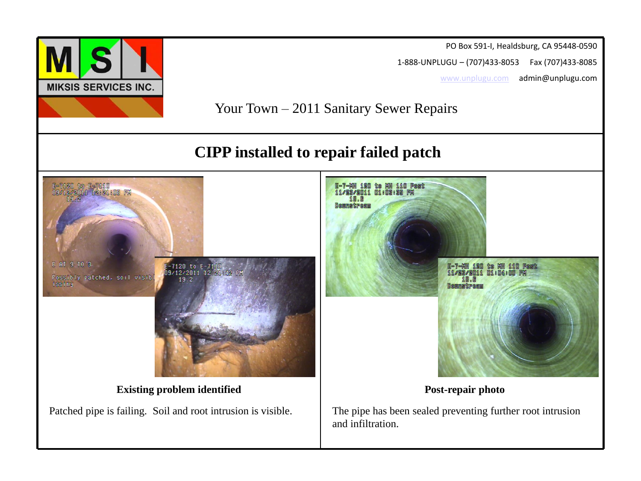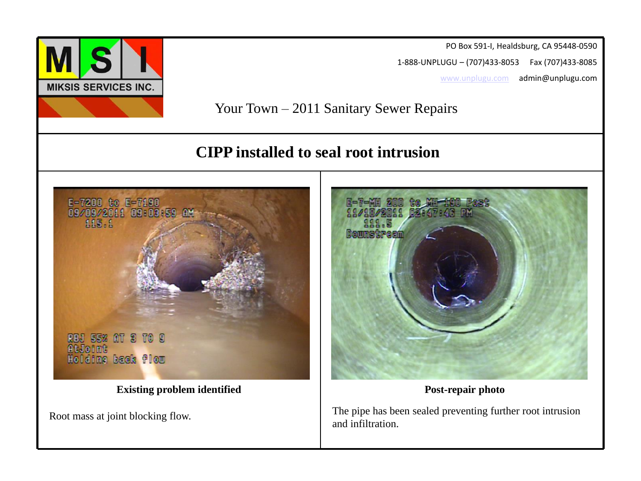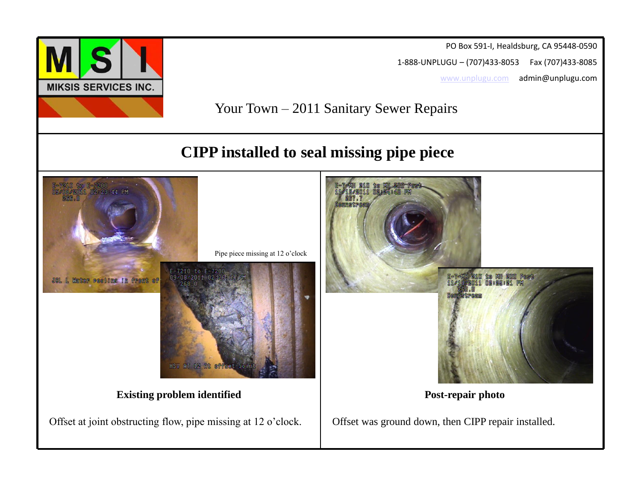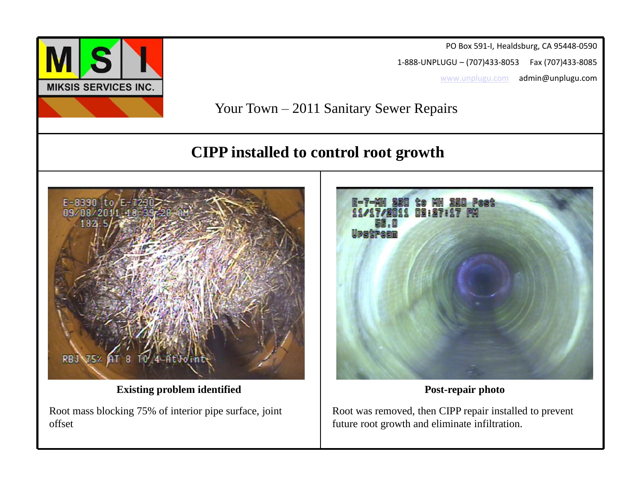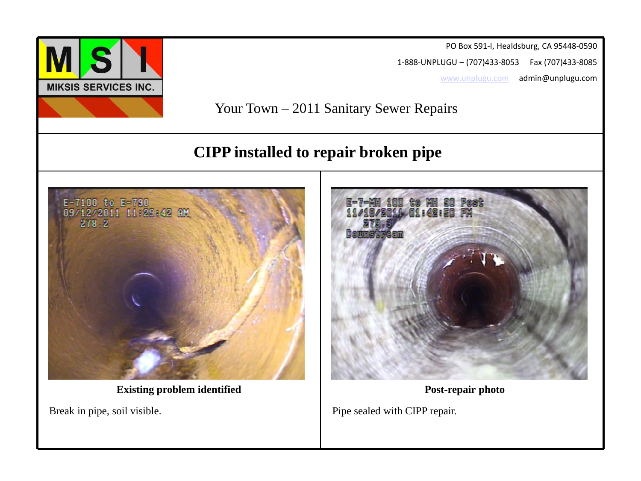

PO Box 591-I, Healdsburg, CA 95448-0590

1-888-UNPLUGU – (707)433-8053 Fax (707)433-8085

[www.unplugu.com](http://www.unplugu.com/) admin@unplugu.com

Your Town – 2011 Sanitary Sewer Repairs

## **CIPP installed to repair broken pipe**



**Existing problem identified**

Break in pipe, soil visible.



**Post-repair photo**

Pipe sealed with CIPP repair.